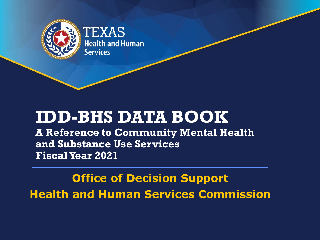

## **IDD-BHS DATA BOOK**

**A Reference to Community Mental Health and Substance Use Services Fiscal Year 2021**

**Office of Decision Support Health and Human Services Commission**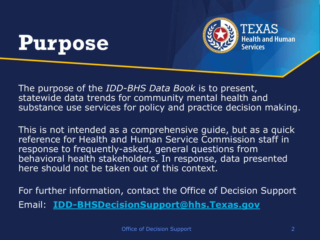## **Purpose**



The purpose of the *IDD-BHS Data Book* is to present, statewide data trends for community mental health and substance use services for policy and practice decision making.

This is not intended as a comprehensive guide, but as a quick reference for Health and Human Service Commission staff in response to frequently-asked, general questions from behavioral health stakeholders. In response, data presented here should not be taken out of this context.

For further information, contact the Office of Decision Support Email: **[IDD-BHSDecisionSupport@hhs.Texas.gov](mailto:IDD-BHSDecisionSupport@hhsc.state.tx.us)**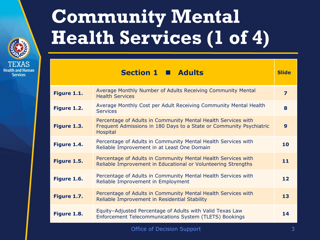

## **Community Mental Health Services (1 of 4)**

| Average Monthly Number of Adults Receiving Community Mental<br>Figure 1.1.<br><b>Health Services</b>                                                            | $\overline{\mathbf{z}}$ |
|-----------------------------------------------------------------------------------------------------------------------------------------------------------------|-------------------------|
| Average Monthly Cost per Adult Receiving Community Mental Health<br>Figure 1.2.<br><b>Services</b>                                                              | 8                       |
| Percentage of Adults in Community Mental Health Services with<br>Figure 1.3.<br>Frequent Admissions in 180 Days to a State or Community Psychiatric<br>Hospital | $\boldsymbol{9}$        |
| Percentage of Adults in Community Mental Health Services with<br>Figure 1.4.<br>Reliable Improvement in at Least One Domain                                     | 10                      |
| Percentage of Adults in Community Mental Health Services with<br>Figure 1.5.<br>Reliable Improvement in Educational or Volunteering Strengths                   | 11                      |
| Percentage of Adults in Community Mental Health Services with<br>Figure 1.6.<br>Reliable Improvement in Employment                                              | 12                      |
| Percentage of Adults in Community Mental Health Services with<br>Figure 1.7.<br>Reliable Improvement in Residential Stability                                   | 13                      |
| Equity-Adjusted Percentage of Adults with Valid Texas Law<br>Figure 1.8.<br><b>Enforcement Telecommunications System (TLETS) Bookings</b>                       | 14                      |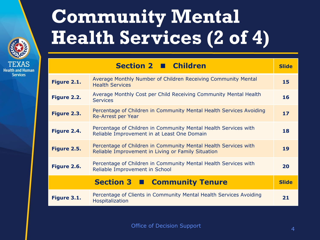

## **Community Mental Health Services (2 of 4)**

|             | Section 2 Children                                                                                                    | <b>Slide</b> |
|-------------|-----------------------------------------------------------------------------------------------------------------------|--------------|
| Figure 2.1. | Average Monthly Number of Children Receiving Community Mental<br><b>Health Services</b>                               | 15           |
| Figure 2.2. | Average Monthly Cost per Child Receiving Community Mental Health<br><b>Services</b>                                   | 16           |
| Figure 2.3. | Percentage of Children in Community Mental Health Services Avoiding<br>Re-Arrest per Year                             | 17           |
| Figure 2.4. | Percentage of Children in Community Mental Health Services with<br>Reliable Improvement in at Least One Domain        | 18           |
| Figure 2.5. | Percentage of Children in Community Mental Health Services with<br>Reliable Improvement in Living or Family Situation | 19           |
| Figure 2.6. | Percentage of Children in Community Mental Health Services with<br>Reliable Improvement in School                     | 20           |
|             | Section 3   Community Tenure                                                                                          | <b>Slide</b> |
| Figure 3.1. | Percentage of Clients in Community Mental Health Services Avoiding<br>Hospitalization                                 | 21           |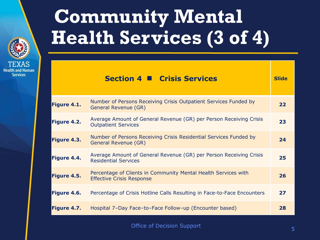

## **Community Mental Health Services (3 of 4)**

|             | <b>Section 4 ■ Crisis Services</b>                                                                 | <b>Slide</b> |
|-------------|----------------------------------------------------------------------------------------------------|--------------|
| Figure 4.1. | Number of Persons Receiving Crisis Outpatient Services Funded by<br>General Revenue (GR)           | 22           |
| Figure 4.2. | Average Amount of General Revenue (GR) per Person Receiving Crisis<br><b>Outpatient Services</b>   | 23           |
| Figure 4.3. | Number of Persons Receiving Crisis Residential Services Funded by<br>General Revenue (GR)          | 24           |
| Figure 4.4. | Average Amount of General Revenue (GR) per Person Receiving Crisis<br><b>Residential Services</b>  | 25           |
| Figure 4.5. | Percentage of Clients in Community Mental Health Services with<br><b>Effective Crisis Response</b> | 26           |
| Figure 4.6. | Percentage of Crisis Hotline Calls Resulting in Face-to-Face Encounters                            | 27           |
| Figure 4.7. | Hospital 7-Day Face-to-Face Follow-up (Encounter based)                                            | 28           |

Office of Decision Support 5 and 5 and 5 and 5 and 5  $\overline{5}$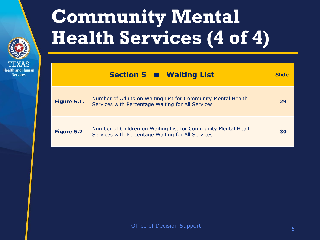

## **Community Mental Health Services (4 of 4)**

|                   | Section 5 $\blacksquare$ Waiting List                                                                               | <b>Slide</b> |
|-------------------|---------------------------------------------------------------------------------------------------------------------|--------------|
| Figure 5.1.       | Number of Adults on Waiting List for Community Mental Health<br>Services with Percentage Waiting for All Services   | 29           |
| <b>Figure 5.2</b> | Number of Children on Waiting List for Community Mental Health<br>Services with Percentage Waiting for All Services | 30           |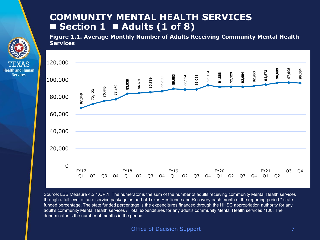### **COMMUNITY MENTAL HEALTH SERVICES Section 1 Adults (1 of 8)**

**Health and Human Services** 

**Figure 1.1. Average Monthly Number of Adults Receiving Community Mental Health Services** 



Source: LBB Measure 4.2.1.OP.1. The numerator is the sum of the number of adults receiving community Mental Health services through a full level of care service package as part of Texas Resilience and Recovery each month of the reporting period \* state funded percentage. The state funded percentage is the expenditures financed through the HHSC appropriation authority for any adult's community Mental Health services / Total expenditures for any adult's community Mental Health services \*100. The<br>denominator is the number of months in the period.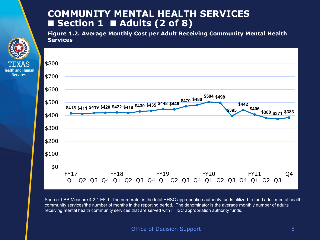## **COMMUNITY MENTAL HEALTH SERVICES**  ■ Section 1 ■ Adults (2 of 8)

**Figure 1.2. Average Monthly Cost per Adult Receiving Community Mental Health Services**



Source: LBB Measure 4.2.1.EF.1. The numerator is the total HHSC appropriation authority funds utilized to fund adult mental health community services/the number of months in the reporting period. The denominator is the average monthly number of adults receiving mental health community services that are served with HHSC appropriation authority funds.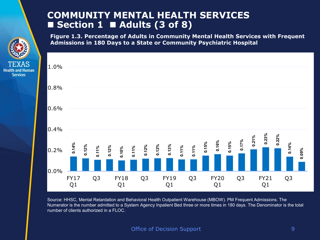## **COMMUNITY MENTAL HEALTH SERVICES**  ■ Section 1 ■ Adults (3 of 8)

**Health and Human Services** 

**Figure 1.3. Percentage of Adults in Community Mental Health Services with Frequent Admissions in 180 Days to a State or Community Psychiatric Hospital** 



Source: HHSC, Mental Retardation and Behavioral Health Outpatient Warehouse (MBOW). PM Frequent Admissions. The Numerator is the number admitted to a System Agency Inpatient Bed three or more times in 180 days. The Denominator is the total number of clients authorized in a FLOC.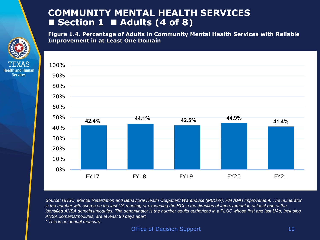## **COMMUNITY MENTAL HEALTH SERVICES Section 1 Adults (4 of 8)**

**Figure 1.4. Percentage of Adults in Community Mental Health Services with Reliable Improvement in at Least One Domain** 



*Source: HHSC, Mental Retardation and Behavioral Health Outpatient Warehouse (MBOW), PM AMH Improvement. The numerator is the number with scores on the last UA meeting or exceeding the RCI in the direction of improvement in at least one of the identified ANSA domains/modules. The denominator is the number adults authorized in a FLOC whose first and last UAs, including ANSA domains/modules, are at least 90 days apart.*

*\* This is an annual measure.*

**Services**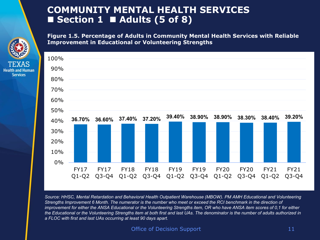## **COMMUNITY MENTAL HEALTH SERVICES**  ■ Section 1 ■ Adults (5 of 8)

**Health and Human Services** 

**Figure 1.5. Percentage of Adults in Community Mental Health Services with Reliable Improvement in Educational or Volunteering Strengths**



*Source: HHSC, Mental Retardation and Behavioral Health Outpatient Warehouse (MBOW). PM AMH Educational and Volunteering Strengths Improvement 6 Month. The numerator is the number who meet or exceed the RCI benchmark in the direction of improvement for either the ANSA Educational or the Volunteering Strengths item, OR who have ANSA item scores of 0,1 for either the Educational or the Volunteering Strengths item at both first and last UAs. The denominator is the number of adults authorized in a FLOC with first and last UAs occurring at least 90 days apart.*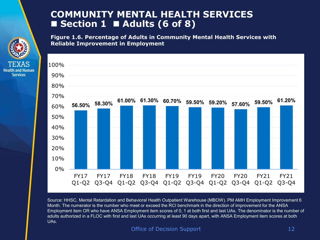## **COMMUNITY MENTAL HEALTH SERVICES**  ■ Section 1 ■ Adults (6 of 8)

**Health and Human Services** 

**Figure 1.6. Percentage of Adults in Community Mental Health Services with Reliable Improvement in Employment**



Source: HHSC, Mental Retardation and Behavioral Health Outpatient Warehouse (MBOW). PM AMH Employment Improvement 6 Month. The numerator is the number who meet or exceed the RCI benchmark in the direction of improvement for the ANSA Employment item OR who have ANSA Employment item scores of 0, 1 at both first and last UAs. The denominator is the number of adults authorized in a FLOC with first and last UAs occurring at least 90 days apart, with ANSA Employment item scores at both UAs.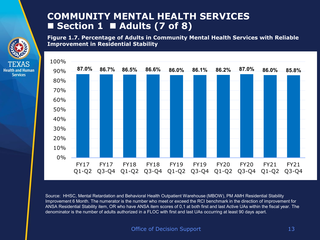## **COMMUNITY MENTAL HEALTH SERVICES**  ■ Section 1 ■ Adults (7 of 8)

**Health and Human Services** 

**Figure 1.7. Percentage of Adults in Community Mental Health Services with Reliable Improvement in Residential Stability**



Source: HHSC, Mental Retardation and Behavioral Health Outpatient Warehouse (MBOW), PM AMH Residential Stability Improvement 6 Month. The numerator is the number who meet or exceed the RCI benchmark in the direction of improvement for ANSA Residential Stability item, OR who have ANSA item scores of 0,1 at both first and last Active UAs within the fiscal year. The denominator is the number of adults authorized in a FLOC with first and last UAs occurring at least 90 days apart.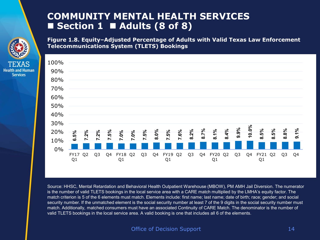## **COMMUNITY MENTAL HEALTH SERVICES**  ■ Section 1 ■ Adults (8 of 8)

**Health and Human Services** 

**Figure 1.8. Equity–Adjusted Percentage of Adults with Valid Texas Law Enforcement Telecommunications System (TLETS) Bookings** 



Source: HHSC, Mental Retardation and Behavioral Health Outpatient Warehouse (MBOW), PM AMH Jail Diversion. The numerator is the number of valid TLETS bookings in the local service area with a CARE match multiplied by the LMHA's equity factor. The match criterion is 5 of the 6 elements must match. Elements include: first name; last name; date of birth; race; gender; and social security number. If the unmatched element is the social security number at least 7 of the 9 digits in the social security number must match. Additionally, matched consumers must have an associated Continuity of CARE Match. The denominator is the number of valid TLETS bookings in the local service area. A valid booking is one that includes all 6 of the elements.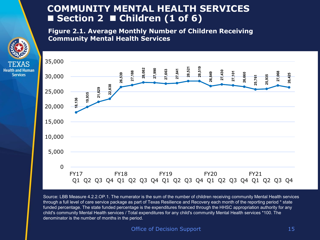## **COMMUNITY MENTAL HEALTH SERVICES**  ■ Section 2 ■ Children (1 of 6)

**Figure 2.1. Average Monthly Number of Children Receiving Community Mental Health Services**

**Services** 



Source: LBB Measure 4.2.2.OP.1. The numerator is the sum of the number of children receiving community Mental Health services through a full level of care service package as part of Texas Resilience and Recovery each month of the reporting period \* state funded percentage. The state funded percentage is the expenditures financed through the HHSC appropriation authority for any child's community Mental Health services / Total expenditures for any child's community Mental Health services \*100. The denominator is the number of months in the period.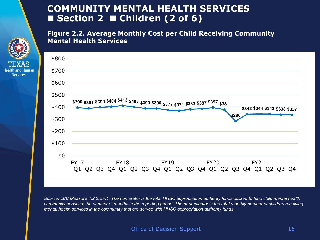## **COMMUNITY MENTAL HEALTH SERVICES**  ■ Section 2 ■ Children (2 of 6)

**Health and Human Services** 

#### **Figure 2.2. Average Monthly Cost per Child Receiving Community Mental Health Services**



*Source: LBB Measure 4.2.2.EF.1. The numerator is the total HHSC appropriation authority funds utilized to fund child mental health community services/ the number of months in the reporting period. The denominator is the total monthly number of children receiving mental health services in the community that are served with HHSC appropriation authority funds.*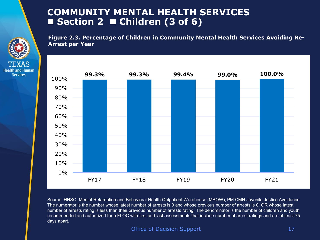### **COMMUNITY MENTAL HEALTH SERVICES**  ■ Section 2 ■ Children (3 of 6)

**Figure 2.3. Percentage of Children in Community Mental Health Services Avoiding Re-Arrest per Year**





Source: HHSC, Mental Retardation and Behavioral Health Outpatient Warehouse (MBOW), PM CMH Juvenile Justice Avoidance. The numerator is the number whose latest number of arrests is 0 and whose previous number of arrests is 0, OR whose latest number of arrests rating is less than their previous number of arrests rating. The denominator is the number of children and youth recommended and authorized for a FLOC with first and last assessments that include number of arrest ratings and are at least 75 days apart.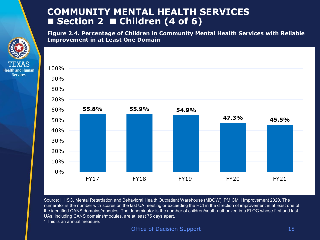## **COMMUNITY MENTAL HEALTH SERVICES**  ■ Section 2 ■ Children (4 of 6)

**Figure 2.4. Percentage of Children in Community Mental Health Services with Reliable Improvement in at Least One Domain**



Source: HHSC, Mental Retardation and Behavioral Health Outpatient Warehouse (MBOW), PM CMH Improvement 2020. The numerator is the number with scores on the last UA meeting or exceeding the RCI in the direction of improvement in at least one of the identified CANS domains/modules. The denominator is the number of children/youth authorized in a FLOC whose first and last UAs, including CANS domains/modules, are at least 75 days apart.

\* This is an annual measure.

**Services**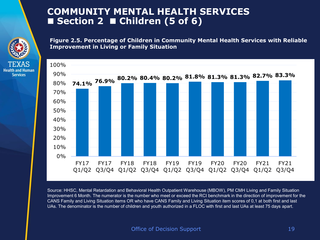## **COMMUNITY MENTAL HEALTH SERVICES**  ■ Section 2 ■ Children (5 of 6)

**Health and Human Services** 

**Figure 2.5. Percentage of Children in Community Mental Health Services with Reliable Improvement in Living or Family Situation**



Source: HHSC, Mental Retardation and Behavioral Health Outpatient Warehouse (MBOW), PM CMH Living and Family Situation Improvement 6 Month. The numerator is the number who meet or exceed the RCI benchmark in the direction of improvement for the CANS Family and Living Situation items OR who have CANS Family and Living Situation item scores of 0,1 at both first and last UAs. The denominator is the number of children and youth authorized in a FLOC with first and last UAs at least 75 days apart.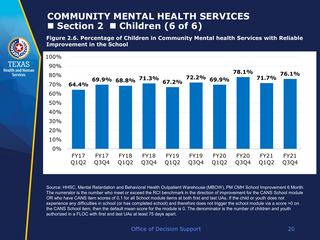## **COMMUNITY MENTAL HEALTH SERVICES**  ■ Section 2 ■ Children (6 of 6)

**Health and Human Services** 

**Figure 2.6. Percentage of Children in Community Mental health Services with Reliable Improvement in the School**



Source: HHSC, Mental Retardation and Behavioral Health Outpatient Warehouse (MBOW), PM CMH School Improvement 6 Month. The numerator is the number who meet or exceed the RCI benchmark in the direction of improvement for the CANS School module OR who have CANS item scores of 0,1 for all School module items at both first and last UAs. If the child or youth does not experience any difficulties in school (or has completed school) and therefore does not trigger the school module via a score >0 on the CANS School item, then the default mean score for the module is 0. The denominator is the number of children and youth authorized in a FLOC with first and last UAs at least 75 days apart.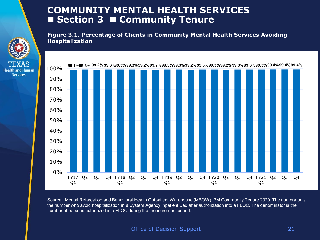## **COMMUNITY MENTAL HEALTH SERVICES Section 3 Community Tenure**

**Figure 3.1. Percentage of Clients in Community Mental Health Services Avoiding Hospitalization**



**Health and Human Services** 



Source: Mental Retardation and Behavioral Health Outpatient Warehouse (MBOW), PM Community Tenure 2020. The numerator is the number who avoid hospitalization in a System Agency Inpatient Bed after authorization into a FLOC. The denominator is the number of persons authorized in a FLOC during the measurement period.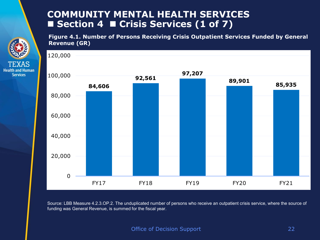## **COMMUNITY MENTAL HEALTH SERVICES**  ■ Section 4 ■ Crisis Services (1 of 7)

**Health and Human Services** 

**Figure 4.1. Number of Persons Receiving Crisis Outpatient Services Funded by General Revenue (GR)**



Source: LBB Measure 4.2.3.OP.2. The unduplicated number of persons who receive an outpatient crisis service, where the source of funding was General Revenue, is summed for the fiscal year.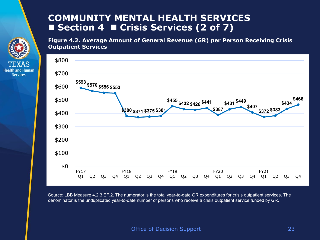## **COMMUNITY MENTAL HEALTH SERVICES**  ■ Section 4 ■ Crisis Services (2 of 7)

**Services** 

**Figure 4.2. Average Amount of General Revenue (GR) per Person Receiving Crisis Outpatient Services**



Source: LBB Measure 4.2.3.EF.2. The numerator is the total year-to-date GR expenditures for crisis outpatient services. The denominator is the unduplicated year-to-date number of persons who receive a crisis outpatient service funded by GR.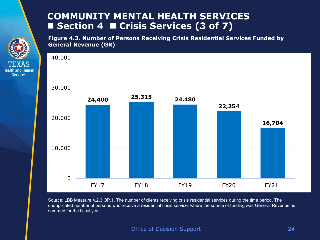## **COMMUNITY MENTAL HEALTH SERVICES**  ■ Section 4 ■ Crisis Services (3 of 7)

**Health and Human Services** 

**Figure 4.3. Number of Persons Receiving Crisis Residential Services Funded by General Revenue (GR)**



Source: LBB Measure 4.2.3.OP.1. The number of clients receiving crisis residential services during the time period. The unduplicated number of persons who receive a residential crisis service, where the source of funding was General Revenue, is summed for the fiscal year.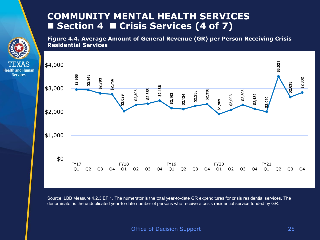## **COMMUNITY MENTAL HEALTH SERVICES**  ■ Section 4 ■ Crisis Services (4 of 7)

**Services** 

**Figure 4.4. Average Amount of General Revenue (GR) per Person Receiving Crisis Residential Services**



Source: LBB Measure 4.2.3.EF.1. The numerator is the total year-to-date GR expenditures for crisis residential services. The denominator is the unduplicated year-to-date number of persons who receive a crisis residential service funded by GR.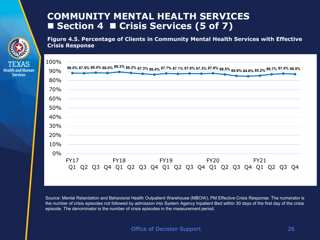## **COMMUNITY MENTAL HEALTH SERVICES**  ■ Section 4 ■ Crisis Services (5 of 7)

**Services** 

**Figure 4.5. Percentage of Clients in Community Mental Health Services with Effective Crisis Response**



Source: Mental Retardation and Behavioral Health Outpatient Warehouse (MBOW), PM Effective Crisis Response. The numerator is the number of crisis episodes not followed by admission into System Agency Inpatient Bed within 30 days of the first day of the crisis episode. The denominator is the number of crisis episodes in the measurement period.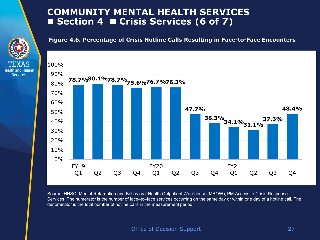### **COMMUNITY MENTAL HEALTH SERVICES**  ■ Section 4 ■ Crisis Services (6 of 7)



**Health and Human Services** 

**Figure 4.6. Percentage of Crisis Hotline Calls Resulting in Face-to-Face Encounters**



Source: HHSC, Mental Retardation and Behavioral Health Outpatient Warehouse (MBOW), PM Access to Crisis Response Services. The numerator is the number of face–to–face services occurring on the same day or within one day of a hotline call. The denominator is the total number of hotline calls in the measurement period.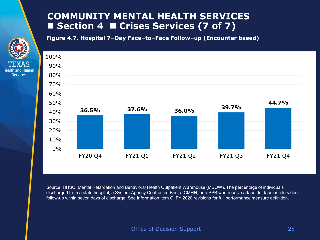## **COMMUNITY MENTAL HEALTH SERVICES**  ■ Section 4 ■ Crises Services (7 of 7)

**Figure 4.7. Hospital 7–Day Face–to–Face Follow–up (Encounter based)** 

**Health and Human Services** 



Source: HHSC, Mental Retardation and Behavioral Health Outpatient Warehouse (MBOW), The percentage of individuals discharged from a state hospital, a System Agency Contracted Bed, a CMHH, or a PPB who receive a face–to–face or tele-video follow-up within seven days of discharge. See Information Item C, FY 2020 revisions for full performance measure definition.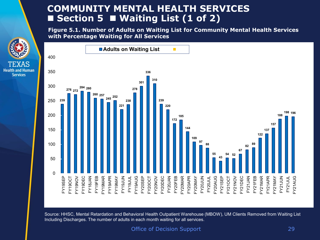## **COMMUNITY MENTAL HEALTH SERVICES**  ■ Section 5 ■ Waiting List (1 of 2)

**Services** 

**Figure 5.1. Number of Adults on Waiting List for Community Mental Health Services with Percentage Waiting for All Services**



Source: HHSC, Mental Retardation and Behavioral Health Outpatient Warehouse (MBOW), UM Clients Removed from Waiting List Including Discharges. The number of adults in each month waiting for all services.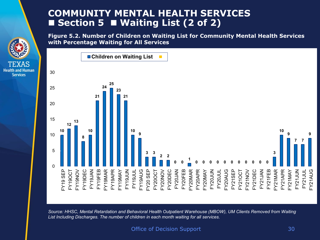## **COMMUNITY MENTAL HEALTH SERVICES**  ■ Section 5 ■ Waiting List (2 of 2)

**Health and Human Services** 

**Figure 5.2. Number of Children on Waiting List for Community Mental Health Services with Percentage Waiting for All Services**



*Source: HHSC, Mental Retardation and Behavioral Health Outpatient Warehouse (MBOW), UM Clients Removed from Waiting List Including Discharges. The number of children in each month waiting for all services.*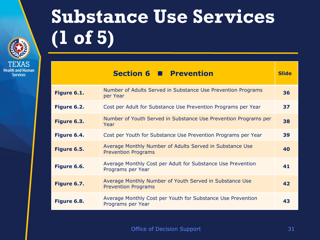

**Services** 

## **Substance Use Services (1 of 5)**

|             | Section 6 <b>Prevention</b>                                                            | <b>Slide</b> |
|-------------|----------------------------------------------------------------------------------------|--------------|
| Figure 6.1. | Number of Adults Served in Substance Use Prevention Programs<br>per Year               | 36           |
| Figure 6.2. | Cost per Adult for Substance Use Prevention Programs per Year                          | 37           |
| Figure 6.3. | Number of Youth Served in Substance Use Prevention Programs per<br>Year                | 38           |
| Figure 6.4. | Cost per Youth for Substance Use Prevention Programs per Year                          | 39           |
| Figure 6.5. | Average Monthly Number of Adults Served in Substance Use<br><b>Prevention Programs</b> | 40           |
| Figure 6.6. | Average Monthly Cost per Adult for Substance Use Prevention<br>Programs per Year       | 41           |
| Figure 6.7. | Average Monthly Number of Youth Served in Substance Use<br><b>Prevention Programs</b>  | 42           |
| Figure 6.8. | Average Monthly Cost per Youth for Substance Use Prevention<br>Programs per Year       | 43           |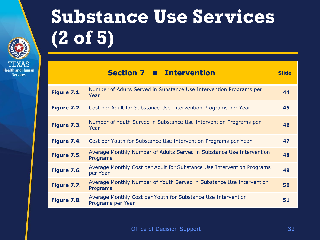

## **Substance Use Services (2 of 5)**

|             | <b>Section 7 ■ Intervention</b>                                                    | <b>Slide</b> |
|-------------|------------------------------------------------------------------------------------|--------------|
| Figure 7.1. | Number of Adults Served in Substance Use Intervention Programs per<br>Year         | 44           |
| Figure 7.2. | Cost per Adult for Substance Use Intervention Programs per Year                    | 45           |
| Figure 7.3. | Number of Youth Served in Substance Use Intervention Programs per<br>Year          | 46           |
| Figure 7.4. | Cost per Youth for Substance Use Intervention Programs per Year                    | 47           |
| Figure 7.5. | Average Monthly Number of Adults Served in Substance Use Intervention<br>Programs  | 48           |
| Figure 7.6. | Average Monthly Cost per Adult for Substance Use Intervention Programs<br>per Year | 49           |
| Figure 7.7. | Average Monthly Number of Youth Served in Substance Use Intervention<br>Programs   | 50           |
| Figure 7.8. | Average Monthly Cost per Youth for Substance Use Intervention<br>Programs per Year | 51           |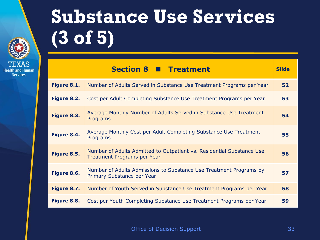

**Services** 

## **Health and Human**

## **Substance Use Services (3 of 5)**

|             | <b>Section 8 ■ Treatment</b>                                                                                | <b>Slide</b> |
|-------------|-------------------------------------------------------------------------------------------------------------|--------------|
| Figure 8.1. | Number of Adults Served in Substance Use Treatment Programs per Year                                        | 52           |
| Figure 8.2. | Cost per Adult Completing Substance Use Treatment Programs per Year                                         | 53           |
| Figure 8.3. | Average Monthly Number of Adults Served in Substance Use Treatment<br>Programs                              | 54           |
| Figure 8.4. | Average Monthly Cost per Adult Completing Substance Use Treatment<br>Programs                               | 55           |
| Figure 8.5. | Number of Adults Admitted to Outpatient vs. Residential Substance Use<br><b>Treatment Programs per Year</b> | 56           |
| Figure 8.6. | Number of Adults Admissions to Substance Use Treatment Programs by<br>Primary Substance per Year            | 57           |
| Figure 8.7. | Number of Youth Served in Substance Use Treatment Programs per Year                                         | 58           |
| Figure 8.8. | Cost per Youth Completing Substance Use Treatment Programs per Year                                         | 59           |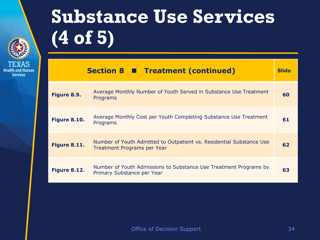

## **Substance Use Services (4 of 5)**

|                     | Section 8 Treatment (continued)                                                                     | <b>Slide</b> |
|---------------------|-----------------------------------------------------------------------------------------------------|--------------|
| Figure 8.9.         | Average Monthly Number of Youth Served in Substance Use Treatment<br>Programs                       | 60           |
| <b>Figure 8.10.</b> | Average Monthly Cost per Youth Completing Substance Use Treatment<br>Programs                       | 61           |
| Figure 8.11.        | Number of Youth Admitted to Outpatient vs. Residential Substance Use<br>Treatment Programs per Year | 62           |
| Figure 8.12.        | Number of Youth Admissions to Substance Use Treatment Programs by<br>Primary Substance per Year     | 63           |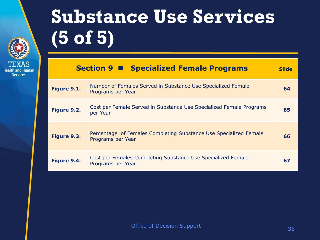

## **Substance Use Services (5 of 5)**

|             | <b>Section 9 ■ Specialized Female Programs</b>                                         | <b>Slide</b> |
|-------------|----------------------------------------------------------------------------------------|--------------|
| Figure 9.1. | Number of Females Served in Substance Use Specialized Female<br>Programs per Year      | 64           |
| Figure 9.2. | Cost per Female Served in Substance Use Specialized Female Programs<br>per Year        | 65           |
| Figure 9.3. | Percentage of Females Completing Substance Use Specialized Female<br>Programs per Year | 66           |
| Figure 9.4. | Cost per Females Completing Substance Use Specialized Female<br>Programs per Year      | 67           |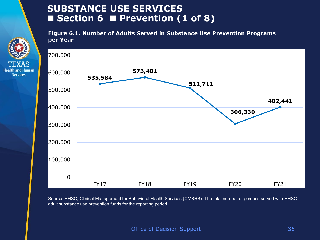## **SUBSTANCE USE SERVICES Section 6 Prevention (1 of 8)**

**Health and Human Services** 

**Figure 6.1. Number of Adults Served in Substance Use Prevention Programs per Year**



Source: HHSC, Clinical Management for Behavioral Health Services (CMBHS). The total number of persons served with HHSC adult substance use prevention funds for the reporting period.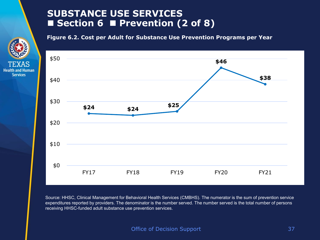## **SUBSTANCE USE SERVICES Section 6 Prevention (2 of 8)**

**Health and Human Services** 

**Figure 6.2. Cost per Adult for Substance Use Prevention Programs per Year**



Source: HHSC, Clinical Management for Behavioral Health Services (CMBHS). The numerator is the sum of prevention service expenditures reported by providers. The denominator is the number served. The number served is the total number of persons receiving HHSC-funded adult substance use prevention services.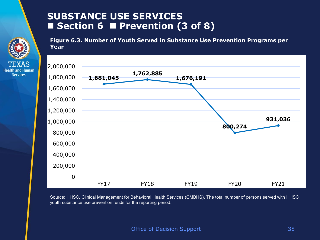## **SUBSTANCE USE SERVICES Section 6 Prevention (3 of 8)**

**Services** 

**Figure 6.3. Number of Youth Served in Substance Use Prevention Programs per Year**



Source: HHSC, Clinical Management for Behavioral Health Services (CMBHS). The total number of persons served with HHSC youth substance use prevention funds for the reporting period.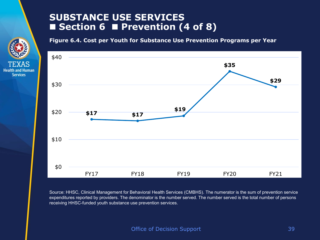## **SUBSTANCE USE SERVICES Section 6 Prevention (4 of 8)**

**Health and Human Services** 

**Figure 6.4. Cost per Youth for Substance Use Prevention Programs per Year**



Source: HHSC, Clinical Management for Behavioral Health Services (CMBHS). The numerator is the sum of prevention service expenditures reported by providers. The denominator is the number served. The number served is the total number of persons receiving HHSC-funded youth substance use prevention services.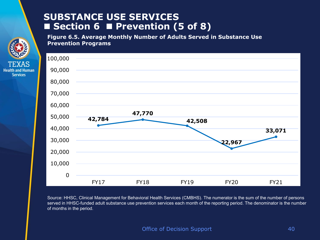## **SUBSTANCE USE SERVICES**  ■ Section 6 ■ Prevention (5 of 8)

**Health and Human Services** 

**Figure 6.5. Average Monthly Number of Adults Served in Substance Use Prevention Programs**



Source: HHSC, Clinical Management for Behavioral Health Services (CMBHS). The numerator is the sum of the number of persons served in HHSC-funded adult substance use prevention services each month of the reporting period. The denominator is the number of months in the period.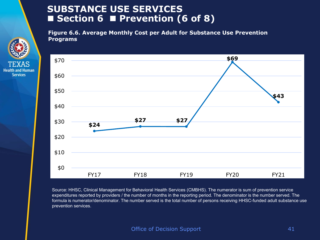## **SUBSTANCE USE SERVICES**  ■ Section 6 ■ Prevention (6 of 8)

**Services** 

**Figure 6.6. Average Monthly Cost per Adult for Substance Use Prevention Programs**



Source: HHSC, Clinical Management for Behavioral Health Services (CMBHS). The numerator is sum of prevention service expenditures reported by providers / the number of months in the reporting period. The denominator is the number served. The formula is numerator/denominator. The number served is the total number of persons receiving HHSC-funded adult substance use prevention services.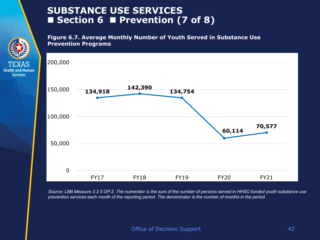## **SUBSTANCE USE SERVICES Section 6 Prevention (7 of 8)**

**Health and Human Services** 

**Figure 6.7. Average Monthly Number of Youth Served in Substance Use Prevention Programs**



*Source: LBB Measure 2.2.5.OP.2. The numerator is the sum of the number of persons served in HHSC-funded youth substance use prevention services each month of the reporting period. The denominator is the number of months in the period.*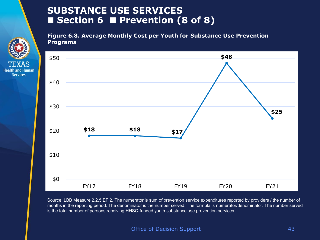## **SUBSTANCE USE SERVICES Section 6 Prevention (8 of 8)**

**Health and Human Services** 

**Figure 6.8. Average Monthly Cost per Youth for Substance Use Prevention Programs**



Source: LBB Measure 2.2.5.EF.2. The numerator is sum of prevention service expenditures reported by providers / the number of months in the reporting period. The denominator is the number served. The formula is numerator/denominator. The number served is the total number of persons receiving HHSC-funded youth substance use prevention services.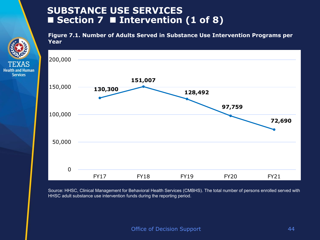## **SUBSTANCE USE SERVICES Section 7 Intervention (1 of 8)**

**Health and Human Services** 

**Figure 7.1. Number of Adults Served in Substance Use Intervention Programs per Year**



Source: HHSC, Clinical Management for Behavioral Health Services (CMBHS). The total number of persons enrolled served with HHSC adult substance use intervention funds during the reporting period.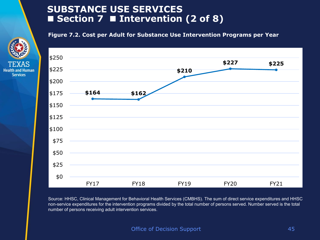## **SUBSTANCE USE SERVICES Section 7 Intervention (2 of 8)**

**Health and Human Services** 

**Figure 7.2. Cost per Adult for Substance Use Intervention Programs per Year**



Source: HHSC, Clinical Management for Behavioral Health Services (CMBHS). The sum of direct service expenditures and HHSC non-service expenditures for the intervention programs divided by the total number of persons served. Number served is the total number of persons receiving adult intervention services.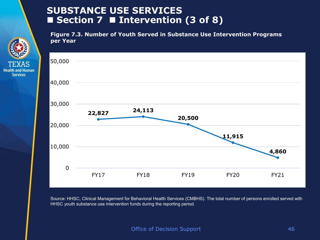## **SUBSTANCE USE SERVICES Section 7 Intervention (3 of 8)**

**Health and Human Services** 

**Figure 7.3. Number of Youth Served in Substance Use Intervention Programs per Year**



Source: HHSC, Clinical Management for Behavioral Health Services (CMBHS). The total number of persons enrolled served with HHSC youth substance use intervention funds during the reporting period.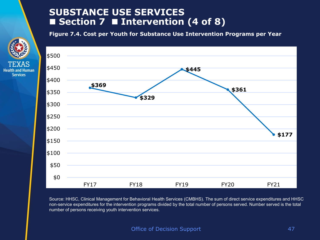## **SUBSTANCE USE SERVICES**  ■ Section 7 ■ Intervention (4 of 8)

**Health and Human Services** 

**Figure 7.4. Cost per Youth for Substance Use Intervention Programs per Year**



Source: HHSC, Clinical Management for Behavioral Health Services (CMBHS). The sum of direct service expenditures and HHSC non-service expenditures for the intervention programs divided by the total number of persons served. Number served is the total number of persons receiving youth intervention services.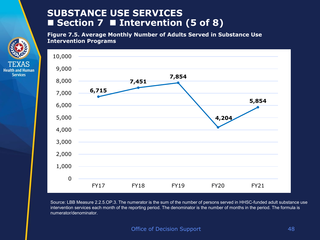## **SUBSTANCE USE SERVICES**  ■ Section 7 ■ Intervention (5 of 8)

**Health and Human Services** 

**Figure 7.5. Average Monthly Number of Adults Served in Substance Use Intervention Programs**



Source: LBB Measure 2.2.5.OP.3. The numerator is the sum of the number of persons served in HHSC-funded adult substance use intervention services each month of the reporting period. The denominator is the number of months in the period. The formula is numerator/denominator.

Office of Decision Support **1999** and 18 and 18 and 18 and 18 and 18 and 18 and 18 and 18 and 18 and 18 and 18 and 18 and 18 and 18 and 18 and 18 and 18 and 18 and 18 and 18 and 18 and 18 and 18 and 18 and 18 and 18 and 18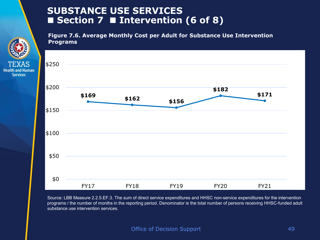## **SUBSTANCE USE SERVICES Section 7 Intervention (6 of 8)**

**Health and Human Services** 

**Figure 7.6. Average Monthly Cost per Adult for Substance Use Intervention Programs**



Source: LBB Measure 2.2.5.EF.3. The sum of direct service expenditures and HHSC non-service expenditures for the intervention programs / the number of months in the reporting period. Denominator is the total number of persons receiving HHSC-funded adult substance use intervention services.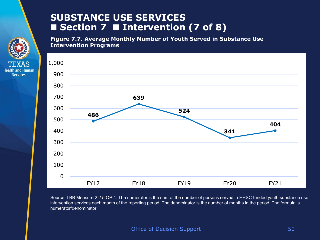### **SUBSTANCE USE SERVICES**  ■ Section 7 ■ Intervention (7 of 8)

**Health and Human Services** 

**Figure 7.7. Average Monthly Number of Youth Served in Substance Use Intervention Programs**



Source: LBB Measure 2.2.5.OP.4. The numerator is the sum of the number of persons served in HHSC funded youth substance use intervention services each month of the reporting period. The denominator is the number of months in the period. The formula is numerator/denominator.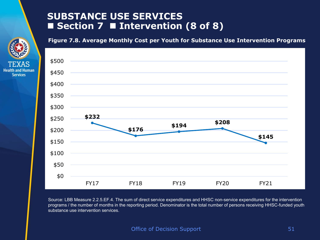## **SUBSTANCE USE SERVICES**  ■ Section 7 ■ Intervention (8 of 8)

**Health and Human Services** 

**Figure 7.8. Average Monthly Cost per Youth for Substance Use Intervention Programs**



Source: LBB Measure 2.2.5.EF.4. The sum of direct service expenditures and HHSC non-service expenditures for the intervention programs / the number of months in the reporting period. Denominator is the total number of persons receiving HHSC-funded youth substance use intervention services.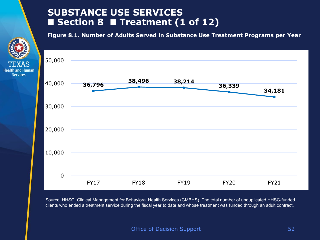## **SUBSTANCE USE SERVICES**  ■ Section 8 ■ Treatment (1 of 12)

**Services** 

**Figure 8.1. Number of Adults Served in Substance Use Treatment Programs per Year** 



Source: HHSC, Clinical Management for Behavioral Health Services (CMBHS). The total number of unduplicated HHSC-funded clients who ended a treatment service during the fiscal year to date and whose treatment was funded through an adult contract.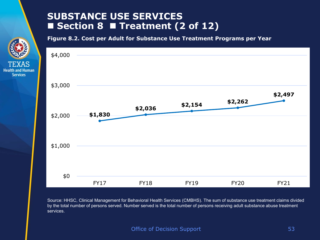## **SUBSTANCE USE SERVICES**  ■ Section 8 ■ Treatment (2 of 12)

**Health and Human Services** 

**Figure 8.2. Cost per Adult for Substance Use Treatment Programs per Year** 



Source: HHSC, Clinical Management for Behavioral Health Services (CMBHS). The sum of substance use treatment claims divided by the total number of persons served. Number served is the total number of persons receiving adult substance abuse treatment services.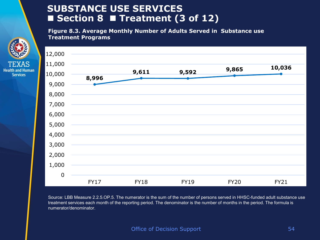## **SUBSTANCE USE SERVICES**  ■ Section 8 ■ Treatment (3 of 12)

**Health and Human Services** 

**Figure 8.3. Average Monthly Number of Adults Served in Substance use Treatment Programs**



Source: LBB Measure 2.2.5.OP.5. The numerator is the sum of the number of persons served in HHSC-funded adult substance use treatment services each month of the reporting period. The denominator is the number of months in the period. The formula is numerator/denominator.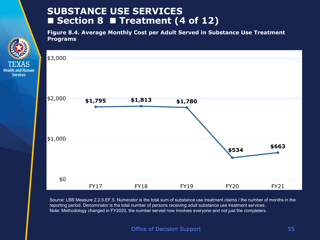## **SUBSTANCE USE SERVICES**  ■ Section 8 ■ Treatment (4 of 12)

**Services** 

**Figure 8.4. Average Monthly Cost per Adult Served in Substance Use Treatment Programs**



Source: LBB Measure 2.2.5.EF.5. Numerator is the total sum of substance use treatment claims / the number of months in the reporting period. Denominator is the total number of persons receiving adult substance use treatment services. Note: Methodology changed in FY2020, the number served now involves everyone and not just the completers.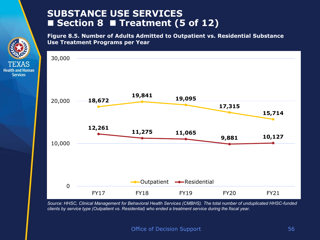## **SUBSTANCE USE SERVICES Section 8 Treatment (5 of 12)**

**Health and Human Services** 

**Figure 8.5. Number of Adults Admitted to Outpatient vs. Residential Substance Use Treatment Programs per Year**



*Source: HHSC, Clinical Management for Behavioral Health Services (CMBHS). The total number of unduplicated HHSC-funded clients by service type (Outpatient vs. Residential) who ended a treatment service during the fiscal year.*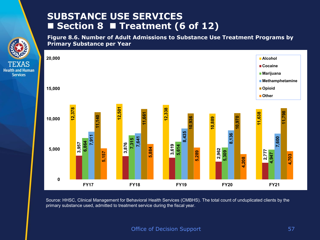## **SUBSTANCE USE SERVICES**  ■ Section 8 ■ Treatment (6 of 12)

**Health and Human Services** 

**Figure 8.6. Number of Adult Admissions to Substance Use Treatment Programs by Primary Substance per Year**



Source: HHSC, Clinical Management for Behavioral Health Services (CMBHS). The total count of unduplicated clients by the primary substance used, admitted to treatment service during the fiscal year.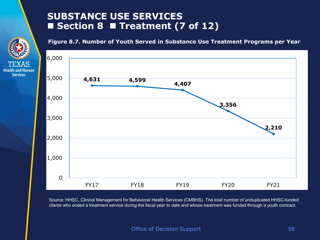## **SUBSTANCE USE SERVICES Section 8 Treatment (7 of 12)**

**Health and Human Services** 

**Figure 8.7. Number of Youth Served in Substance Use Treatment Programs per Year** 



Source: HHSC, Clinical Management for Behavioral Health Services (CMBHS). The total number of unduplicated HHSC-funded clients who ended a treatment service during the fiscal year to date and whose treatment was funded through a youth contract.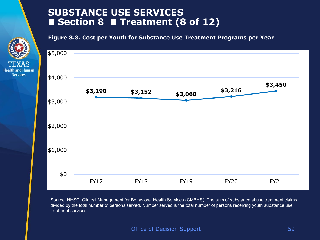## **SUBSTANCE USE SERVICES Section 8 Treatment (8 of 12)**

**Health and Human Services** 

**Figure 8.8. Cost per Youth for Substance Use Treatment Programs per Year** 



Source: HHSC, Clinical Management for Behavioral Health Services (CMBHS). The sum of substance abuse treatment claims divided by the total number of persons served. Number served is the total number of persons receiving youth substance use treatment services.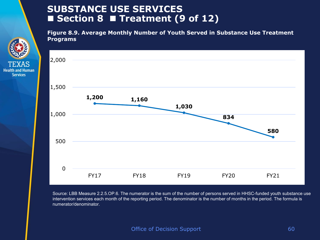## **SUBSTANCE USE SERVICES Section 8 Treatment (9 of 12)**

**Health and Human Services** 

**Figure 8.9. Average Monthly Number of Youth Served in Substance Use Treatment Programs** 



Source: LBB Measure 2.2.5.OP.6. The numerator is the sum of the number of persons served in HHSC-funded youth substance use intervention services each month of the reporting period. The denominator is the number of months in the period. The formula is numerator/denominator.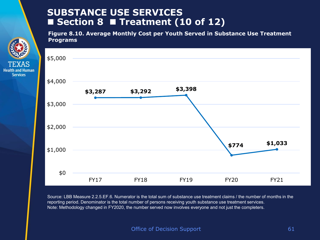## **SUBSTANCE USE SERVICES Section 8 Treatment (10 of 12)**

**Health and Human Services** 

**Figure 8.10. Average Monthly Cost per Youth Served in Substance Use Treatment Programs**



Source: LBB Measure 2.2.5.EF.6. Numerator is the total sum of substance use treatment claims / the number of months in the reporting period. Denominator is the total number of persons receiving youth substance use treatment services. Note: Methodology changed in FY2020, the number served now involves everyone and not just the completers.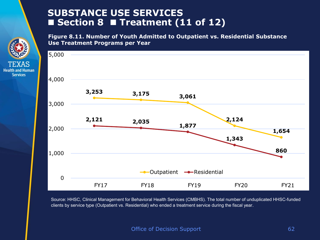## **SUBSTANCE USE SERVICES**  ■ Section 8 ■ Treatment (11 of 12)

**Health and Human Services** 

**Figure 8.11. Number of Youth Admitted to Outpatient vs. Residential Substance Use Treatment Programs per Year**



Source: HHSC, Clinical Management for Behavioral Health Services (CMBHS). The total number of unduplicated HHSC-funded clients by service type (Outpatient vs. Residential) who ended a treatment service during the fiscal year.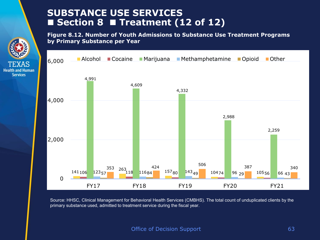## **SUBSTANCE USE SERVICES**  ■ Section 8 ■ Treatment (12 of 12)

**Figure 8.12. Number of Youth Admissions to Substance Use Treatment Programs by Primary Substance per Year**



Source: HHSC, Clinical Management for Behavioral Health Services (CMBHS). The total count of unduplicated clients by the primary substance used, admitted to treatment service during the fiscal year.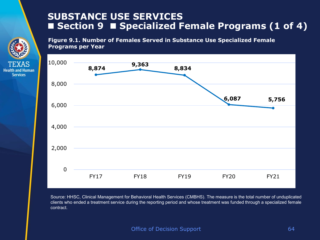## **SUBSTANCE USE SERVICES**  ■ Section 9 ■ Specialized Female Programs (1 of 4)

**Figure 9.1. Number of Females Served in Substance Use Specialized Female Programs per Year**

**Health and Human Services** 



Source: HHSC, Clinical Management for Behavioral Health Services (CMBHS). The measure is the total number of unduplicated clients who ended a treatment service during the reporting period and whose treatment was funded through a specialized female contract.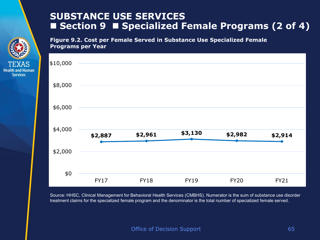## **SUBSTANCE USE SERVICES**  ■ Section 9 ■ Specialized Female Programs (2 of 4)

**Figure 9.2. Cost per Female Served in Substance Use Specialized Female Programs per Year**

**Health and Human Services** 



Source: HHSC, Clinical Management for Behavioral Health Services (CMBHS). Numerator is the sum of substance use disorder treatment claims for the specialized female program and the denominator is the total number of specialized female served.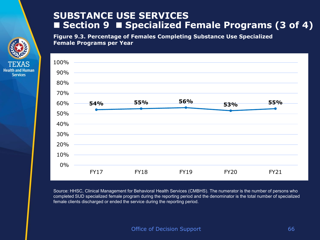## **SUBSTANCE USE SERVICES**  ■ Section 9 ■ Specialized Female Programs (3 of 4)

**Figure 9.3. Percentage of Females Completing Substance Use Specialized Female Programs per Year**

**Health and Human Services** 



Source: HHSC, Clinical Management for Behavioral Health Services (CMBHS). The numerator is the number of persons who completed SUD specialized female program during the reporting period and the denominator is the total number of specialized female clients discharged or ended the service during the reporting period.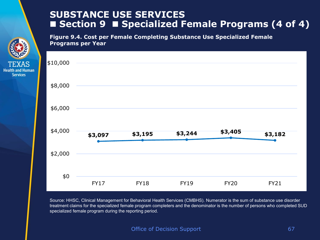## **SUBSTANCE USE SERVICES**  ■ Section 9 ■ Specialized Female Programs (4 of 4)

**Figure 9.4. Cost per Female Completing Substance Use Specialized Female Programs per Year**

**Health and Human Services** 



Source: HHSC, Clinical Management for Behavioral Health Services (CMBHS). Numerator is the sum of substance use disorder treatment claims for the specialized female program completers and the denominator is the number of persons who completed SUD specialized female program during the reporting period.